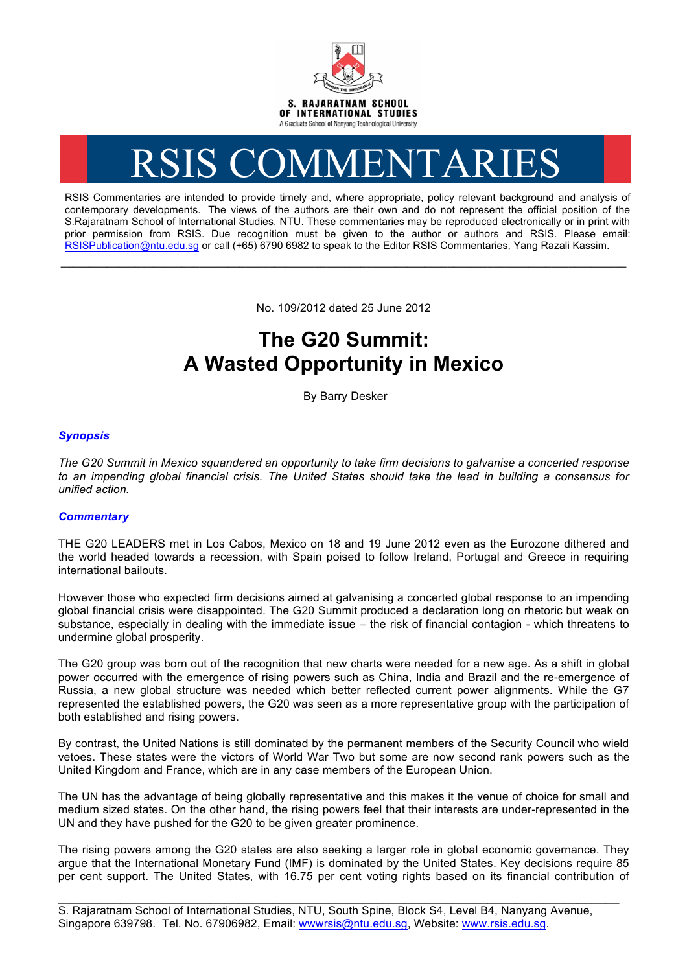

# RSIS COMMENTARIES

RSIS Commentaries are intended to provide timely and, where appropriate, policy relevant background and analysis of contemporary developments. The views of the authors are their own and do not represent the official position of the S.Rajaratnam School of International Studies, NTU. These commentaries may be reproduced electronically or in print with prior permission from RSIS. Due recognition must be given to the author or authors and RSIS. Please email: RSISPublication@ntu.edu.sg or call (+65) 6790 6982 to speak to the Editor RSIS Commentaries, Yang Razali Kassim.

No. 109/2012 dated 25 June 2012

**\_\_\_\_\_\_\_\_\_\_\_\_\_\_\_\_\_\_\_\_\_\_\_\_\_\_\_\_\_\_\_\_\_\_\_\_\_\_\_\_\_\_\_\_\_\_\_\_\_\_\_\_\_\_\_\_\_\_\_\_\_\_\_\_\_\_\_\_\_\_\_\_\_\_\_\_\_\_\_\_\_\_\_\_\_\_\_\_\_\_\_\_\_\_\_\_\_\_**

# **The G20 Summit: A Wasted Opportunity in Mexico**

By Barry Desker

## *Synopsis*

*The G20 Summit in Mexico squandered an opportunity to take firm decisions to galvanise a concerted response to an impending global financial crisis. The United States should take the lead in building a consensus for unified action.*

### *Commentary*

THE G20 LEADERS met in Los Cabos, Mexico on 18 and 19 June 2012 even as the Eurozone dithered and the world headed towards a recession, with Spain poised to follow Ireland, Portugal and Greece in requiring international bailouts.

However those who expected firm decisions aimed at galvanising a concerted global response to an impending global financial crisis were disappointed. The G20 Summit produced a declaration long on rhetoric but weak on substance, especially in dealing with the immediate issue – the risk of financial contagion - which threatens to undermine global prosperity.

The G20 group was born out of the recognition that new charts were needed for a new age. As a shift in global power occurred with the emergence of rising powers such as China, India and Brazil and the re-emergence of Russia, a new global structure was needed which better reflected current power alignments. While the G7 represented the established powers, the G20 was seen as a more representative group with the participation of both established and rising powers.

By contrast, the United Nations is still dominated by the permanent members of the Security Council who wield vetoes. These states were the victors of World War Two but some are now second rank powers such as the United Kingdom and France, which are in any case members of the European Union.

The UN has the advantage of being globally representative and this makes it the venue of choice for small and medium sized states. On the other hand, the rising powers feel that their interests are under-represented in the UN and they have pushed for the G20 to be given greater prominence.

The rising powers among the G20 states are also seeking a larger role in global economic governance. They argue that the International Monetary Fund (IMF) is dominated by the United States. Key decisions require 85 per cent support. The United States, with 16.75 per cent voting rights based on its financial contribution of

\_\_\_\_\_\_\_\_\_\_\_\_\_\_\_\_\_\_\_\_\_\_\_\_\_\_\_\_\_\_\_\_\_\_\_\_\_\_\_\_\_\_\_\_\_\_\_\_\_\_\_\_\_\_\_\_\_\_\_\_\_\_\_\_\_\_\_\_\_\_\_\_\_\_\_\_\_\_\_\_\_